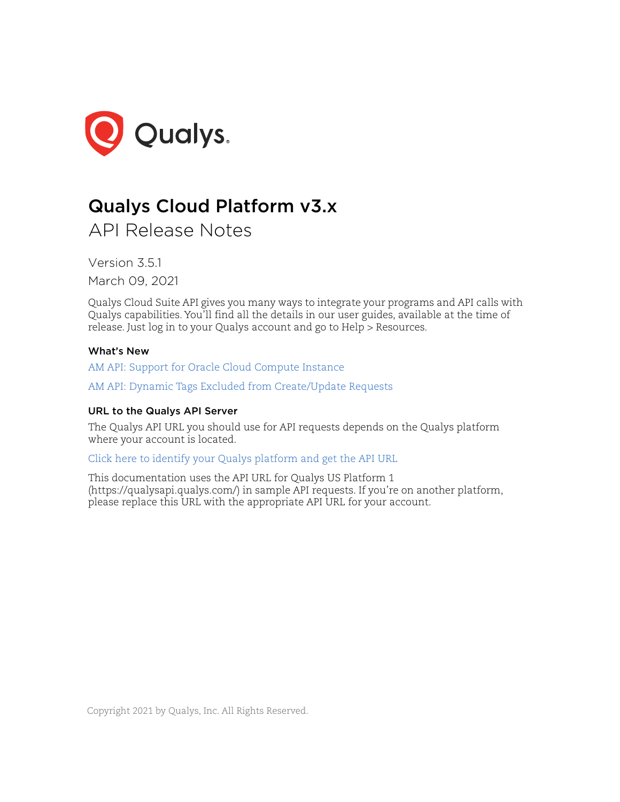

# Qualys Cloud Platform v3.x

API Release Notes

Version 3.5.1 March 09, 2021

Qualys Cloud Suite API gives you many ways to integrate your programs and API calls with Qualys capabilities. You'll find all the details in our user guides, available at the time of release. Just log in to your Qualys account and go to Help > Resources.

# What's New

[AM API: Support for Oracle Cloud Compute Instance](#page-1-0)

[AM API: Dynamic Tags Excluded from Create/Update Requests](#page-16-0)

# URL to the Qualys API Server

The Qualys API URL you should use for API requests depends on the Qualys platform where your account is located.

[Click here to identify your Qualys platform and get the API URL](https://www.qualys.com/platform-identification/)

This documentation uses the API URL for Qualys US Platform 1 (https://qualysapi.qualys.com/) in sample API requests. If you're on another platform, please replace this URL with the appropriate API URL for your account.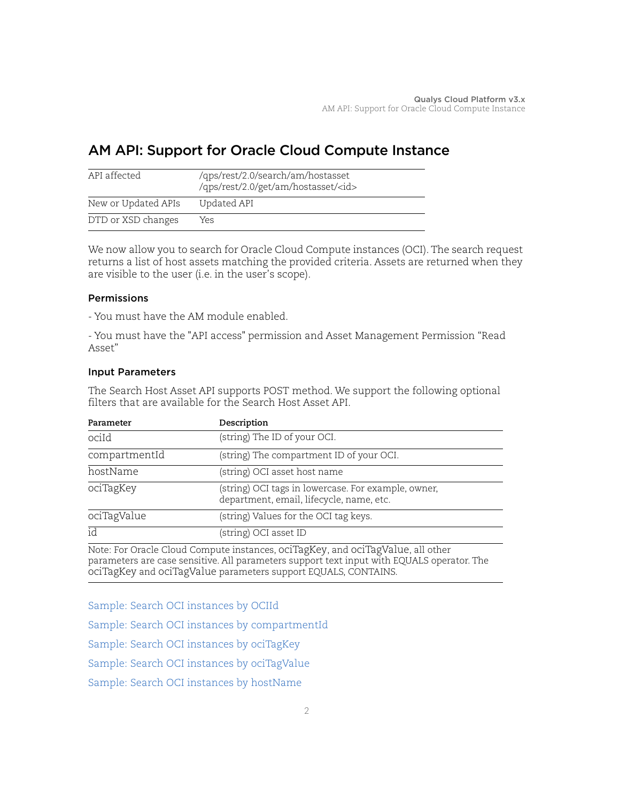# <span id="page-1-0"></span>AM API: Support for Oracle Cloud Compute Instance

| API affected        | /qps/rest/2.0/search/am/hostasset<br>/qps/rest/2.0/get/am/hostasset/ <id></id> |
|---------------------|--------------------------------------------------------------------------------|
| New or Updated APIs | Updated API                                                                    |
| DTD or XSD changes  | Yes                                                                            |

We now allow you to search for Oracle Cloud Compute instances (OCI). The search request returns a list of host assets matching the provided criteria. Assets are returned when they are visible to the user (i.e. in the user's scope).

# Permissions

- You must have the AM module enabled.

- You must have the "API access" permission and Asset Management Permission "Read Asset"

# Input Parameters

The Search Host Asset API supports POST method. We support the following optional filters that are available for the Search Host Asset API.

| Parameter     | Description                                                                                     |  |
|---------------|-------------------------------------------------------------------------------------------------|--|
| ociId         | (string) The ID of your OCI.                                                                    |  |
| compartmentId | (string) The compartment ID of your OCI.                                                        |  |
| hostName      | (string) OCI asset host name                                                                    |  |
| ociTagKey     | (string) OCI tags in lowercase. For example, owner,<br>department, email, lifecycle, name, etc. |  |
| ociTagValue   | (string) Values for the OCI tag keys.                                                           |  |
| id            | (string) OCI asset ID                                                                           |  |

Note: For Oracle Cloud Compute instances, ociTagKey, and ociTagValue, all other parameters are case sensitive. All parameters support text input with EQUALS operator. The ociTagKey and ociTagValue parameters support EQUALS, CONTAINS.

[Sample: Search OCI instances by OCIId](#page-2-0)

[Sample: Search OCI instances by compartmentId](#page-4-0)

[Sample: Search OCI instances by ociTagKey](#page-5-0)

[Sample: Search OCI instances by ociTagValue](#page-7-0)

[Sample: Search OCI instances by hostName](#page-9-0)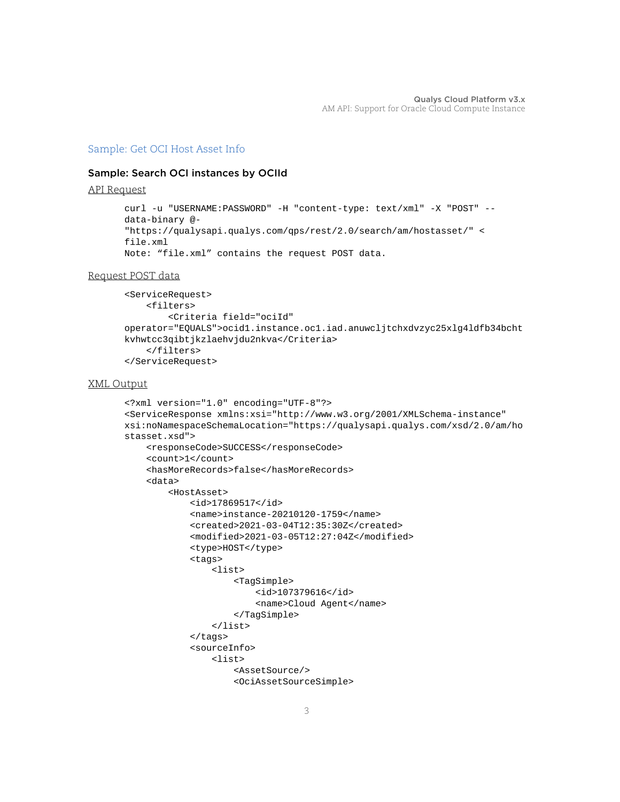# [Sample: Get OCI Host Asset Info](#page-11-0)

# <span id="page-2-0"></span>Sample: Search OCI instances by OCIId

API Request

```
curl -u "USERNAME:PASSWORD" -H "content-type: text/xml" -X "POST" --
data-binary @-
"https://qualysapi.qualys.com/qps/rest/2.0/search/am/hostasset/" <
file.xml
Note: "file.xml" contains the request POST data.
```
#### Request POST data

```
<ServiceRequest>
     <filters>
         <Criteria field="ociId" 
operator="EQUALS">ocid1.instance.oc1.iad.anuwcljtchxdvzyc25xlg4ldfb34bcht
kvhwtcc3qibtjkzlaehvjdu2nkva</Criteria>
     </filters>
</ServiceRequest>
```

```
<?xml version="1.0" encoding="UTF-8"?>
<ServiceResponse xmlns:xsi="http://www.w3.org/2001/XMLSchema-instance" 
xsi:noNamespaceSchemaLocation="https://qualysapi.qualys.com/xsd/2.0/am/ho
stasset.xsd">
     <responseCode>SUCCESS</responseCode>
     <count>1</count>
     <hasMoreRecords>false</hasMoreRecords>
     <data>
         <HostAsset>
             <id>17869517</id>
             <name>instance-20210120-1759</name>
             <created>2021-03-04T12:35:30Z</created>
             <modified>2021-03-05T12:27:04Z</modified>
             <type>HOST</type>
             <tags>
                  <list>
                      <TagSimple>
                          <id>107379616</id>
                          <name>Cloud Agent</name>
                      </TagSimple>
                  </list>
             </tags>
             <sourceInfo>
                  <list>
                      <AssetSource/>
                      <OciAssetSourceSimple>
```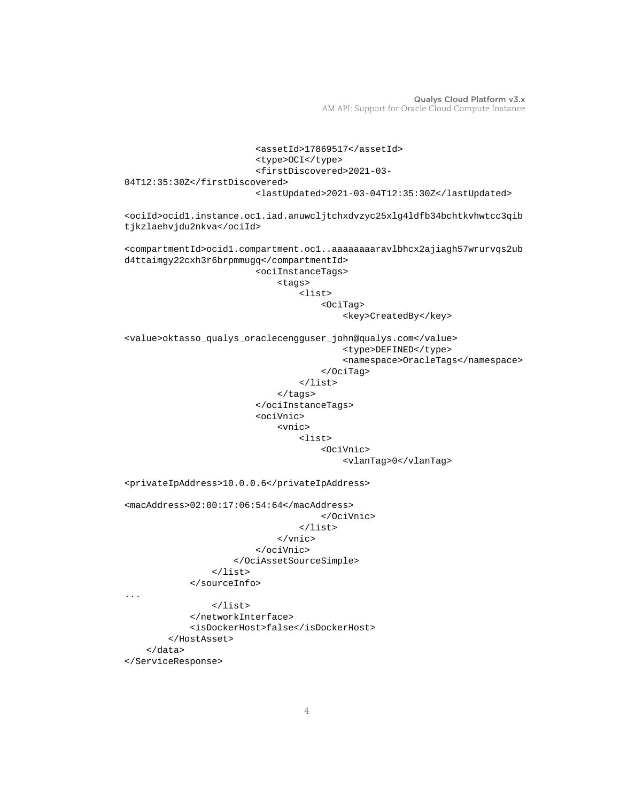```
 <assetId>17869517</assetId>
                          <type>OCI</type>
                          <firstDiscovered>2021-03-
04T12:35:30Z</firstDiscovered>
                          <lastUpdated>2021-03-04T12:35:30Z</lastUpdated>
<ociId>ocid1.instance.oc1.iad.anuwcljtchxdvzyc25xlg4ldfb34bchtkvhwtcc3qib
tjkzlaehvjdu2nkva</ociId>
<compartmentId>ocid1.compartment.oc1..aaaaaaaaravlbhcx2ajiagh57wrurvqs2ub
d4ttaimgy22cxh3r6brpmmugq</compartmentId>
                          <ociInstanceTags>
                               <tags>
                                   <list>
                                       <OciTag>
                                            <key>CreatedBy</key>
<value>oktasso_qualys_oraclecengguser_john@qualys.com</value>
                                           <type>DEFINED</type>
                                            <namespace>OracleTags</namespace>
                                       </OciTag>
                                   </list>
                               </tags>
                          </ociInstanceTags>
                          <ociVnic>
                               <vnic>
                                   <list>
                                       <OciVnic>
                                            <vlanTag>0</vlanTag>
<privateIpAddress>10.0.0.6</privateIpAddress>
<macAddress>02:00:17:06:54:64</macAddress>
                                       </OciVnic>
                                   </list>
                               </vnic>
                          </ociVnic>
                      </OciAssetSourceSimple>
                 \langle/list>
              </sourceInfo>
...
                 \langle/list>
              </networkInterface>
              <isDockerHost>false</isDockerHost>
         </HostAsset>
     </data>
</ServiceResponse>
```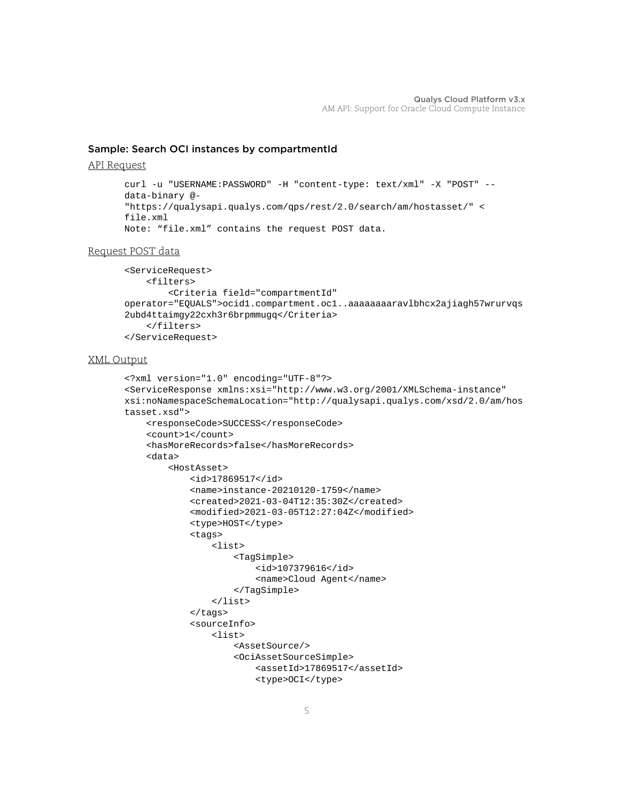# <span id="page-4-0"></span>Sample: Search OCI instances by compartmentId

#### API Request

```
curl -u "USERNAME:PASSWORD" -H "content-type: text/xml" -X "POST" --
data-binary @-
"https://qualysapi.qualys.com/qps/rest/2.0/search/am/hostasset/" <
file.xml
Note: "file.xml" contains the request POST data.
```
#### Request POST data

```
<ServiceRequest>
     <filters>
         <Criteria field="compartmentId" 
operator="EQUALS">ocid1.compartment.oc1..aaaaaaaaravlbhcx2ajiagh57wrurvqs
2ubd4ttaimgy22cxh3r6brpmmugq</Criteria>
     </filters>
</ServiceRequest>
```

```
<?xml version="1.0" encoding="UTF-8"?>
<ServiceResponse xmlns:xsi="http://www.w3.org/2001/XMLSchema-instance" 
xsi:noNamespaceSchemaLocation="http://qualysapi.qualys.com/xsd/2.0/am/hos
tasset.xsd">
     <responseCode>SUCCESS</responseCode>
     <count>1</count>
     <hasMoreRecords>false</hasMoreRecords>
     <data>
         <HostAsset>
             <id>17869517</id>
             <name>instance-20210120-1759</name>
             <created>2021-03-04T12:35:30Z</created>
             <modified>2021-03-05T12:27:04Z</modified>
             <type>HOST</type>
             <tags>
                  <list>
                      <TagSimple>
                          <id>107379616</id>
                          <name>Cloud Agent</name>
                      </TagSimple>
                  </list>
             </tags>
             <sourceInfo>
                  <list>
                      <AssetSource/>
                      <OciAssetSourceSimple>
                          <assetId>17869517</assetId>
                          <type>OCI</type>
```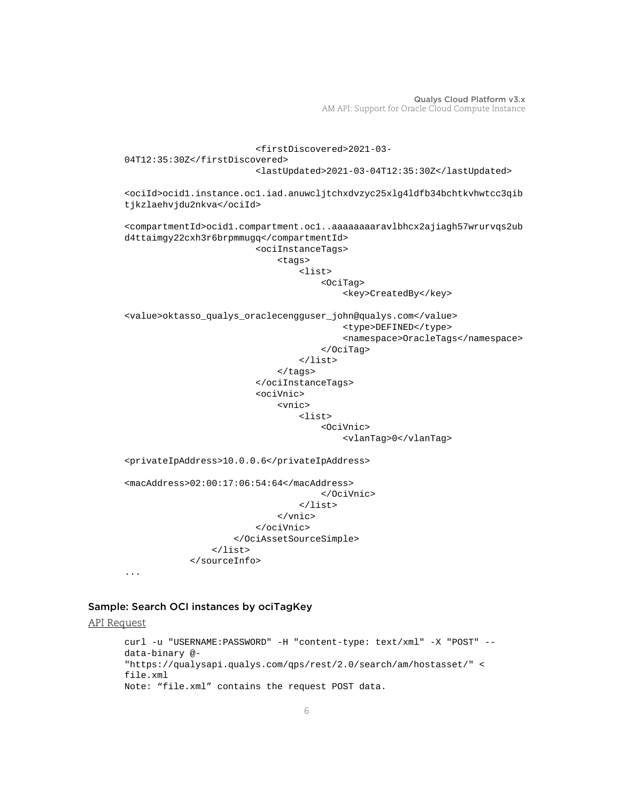```
 <firstDiscovered>2021-03-
04T12:35:30Z</firstDiscovered>
                          <lastUpdated>2021-03-04T12:35:30Z</lastUpdated>
<ociId>ocid1.instance.oc1.iad.anuwcljtchxdvzyc25xlg4ldfb34bchtkvhwtcc3qib
tjkzlaehvjdu2nkva</ociId>
<compartmentId>ocid1.compartment.oc1..aaaaaaaaravlbhcx2ajiagh57wrurvqs2ub
d4ttaimgy22cxh3r6brpmmugq</compartmentId>
                          <ociInstanceTags>
                              <tags>
                                   <list>
                                       <OciTag>
                                           <key>CreatedBy</key>
<value>oktasso_qualys_oraclecengguser_john@qualys.com</value>
                                           <type>DEFINED</type>
                                           <namespace>OracleTags</namespace>
                                       </OciTag>
                                   </list>
                              </tags>
                          </ociInstanceTags>
                          <ociVnic>
                              <vnic>
                                   <list>
                                       <OciVnic>
                                           <vlanTag>0</vlanTag>
<privateIpAddress>10.0.0.6</privateIpAddress>
<macAddress>02:00:17:06:54:64</macAddress>
                                       </OciVnic>
                                   </list>
                              </vnic>
                          </ociVnic>
                      </OciAssetSourceSimple>
                  </list>
             </sourceInfo>
...
```
#### <span id="page-5-0"></span>Sample: Search OCI instances by ociTagKey

```
API Request
```

```
curl -u "USERNAME:PASSWORD" -H "content-type: text/xml" -X "POST" --
data-binary @-
"https://qualysapi.qualys.com/qps/rest/2.0/search/am/hostasset/" <
file.xml
Note: "file.xml" contains the request POST data.
```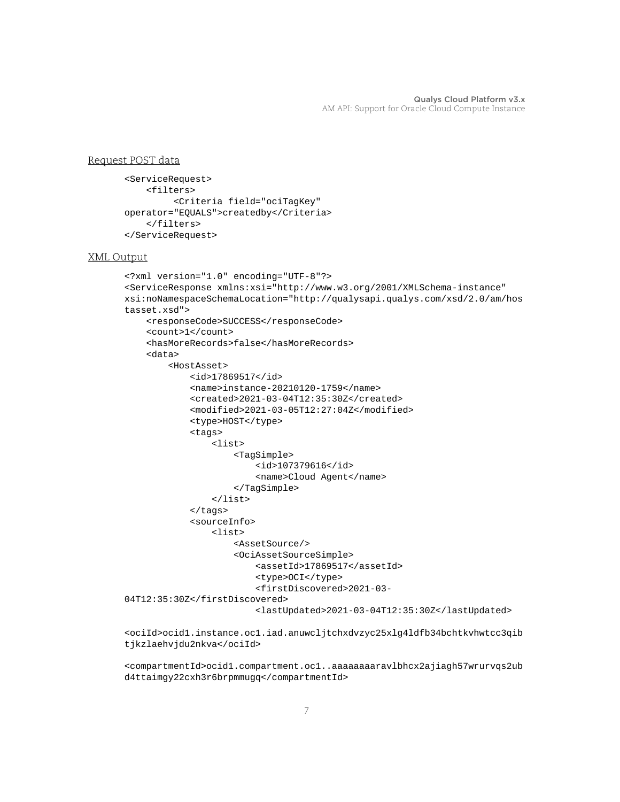# Request POST data

```
<ServiceRequest>
     <filters>
          <Criteria field="ociTagKey" 
operator="EQUALS">createdby</Criteria>
     </filters>
</ServiceRequest>
```
#### XML Output

```
<?xml version="1.0" encoding="UTF-8"?>
<ServiceResponse xmlns:xsi="http://www.w3.org/2001/XMLSchema-instance" 
xsi:noNamespaceSchemaLocation="http://qualysapi.qualys.com/xsd/2.0/am/hos
tasset.xsd">
     <responseCode>SUCCESS</responseCode>
     <count>1</count>
     <hasMoreRecords>false</hasMoreRecords>
     <data>
         <HostAsset>
             <id>17869517</id>
             <name>instance-20210120-1759</name>
             <created>2021-03-04T12:35:30Z</created>
             <modified>2021-03-05T12:27:04Z</modified>
             <type>HOST</type>
             <tags>
                  <list>
                      <TagSimple>
                          <id>107379616</id>
                          <name>Cloud Agent</name>
                      </TagSimple>
                  </list>
             </tags>
             <sourceInfo>
                  <list>
                      <AssetSource/>
                      <OciAssetSourceSimple>
                          <assetId>17869517</assetId>
                          <type>OCI</type>
                          <firstDiscovered>2021-03-
04T12:35:30Z</firstDiscovered>
                          <lastUpdated>2021-03-04T12:35:30Z</lastUpdated>
```
<ociId>ocid1.instance.oc1.iad.anuwcljtchxdvzyc25xlg4ldfb34bchtkvhwtcc3qib tjkzlaehvjdu2nkva</ociId>

<compartmentId>ocid1.compartment.oc1..aaaaaaaaravlbhcx2ajiagh57wrurvqs2ub d4ttaimgy22cxh3r6brpmmugq</compartmentId>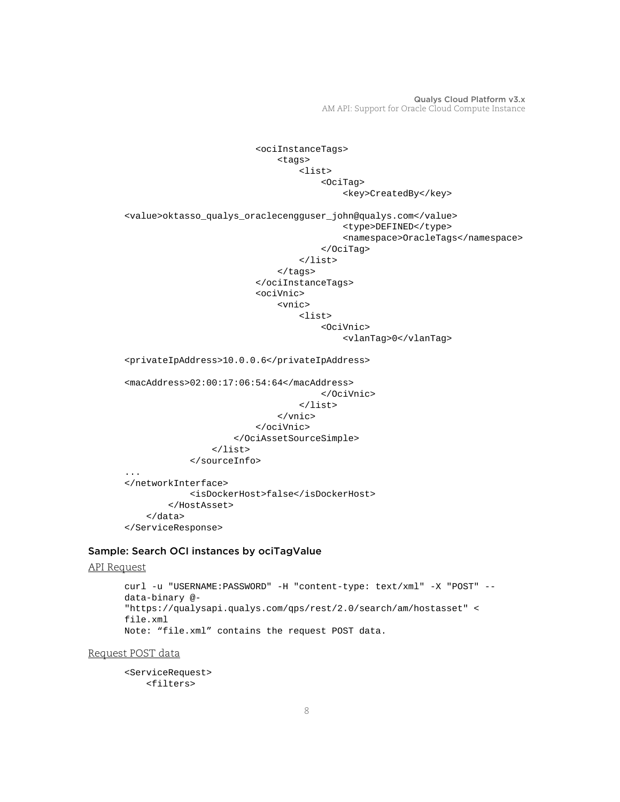```
 <ociInstanceTags>
                               <tags>
                                    <list>
                                        <OciTag>
                                            <key>CreatedBy</key>
<value>oktasso_qualys_oraclecengguser_john@qualys.com</value>
                                            <type>DEFINED</type>
                                            <namespace>OracleTags</namespace>
                                        </OciTag>
                                    </list>
                               </tags>
                           </ociInstanceTags>
                           <ociVnic>
                               <vnic>
                                   <list>
                                        <OciVnic>
                                            <vlanTag>0</vlanTag>
<privateIpAddress>10.0.0.6</privateIpAddress>
<macAddress>02:00:17:06:54:64</macAddress>
                                        </OciVnic>
                                    </list>
                               </vnic>
                           </ociVnic>
                      </OciAssetSourceSimple>
                  </list>
              </sourceInfo>
...
</networkInterface>
              <isDockerHost>false</isDockerHost>
         </HostAsset>
     </data>
</ServiceResponse>
```
# <span id="page-7-0"></span>Sample: Search OCI instances by ociTagValue

#### API Request

```
curl -u "USERNAME:PASSWORD" -H "content-type: text/xml" -X "POST" --
data-binary @-
"https://qualysapi.qualys.com/qps/rest/2.0/search/am/hostasset" <
file.xml
Note: "file.xml" contains the request POST data.
```
Request POST data

```
<ServiceRequest>
     <filters>
```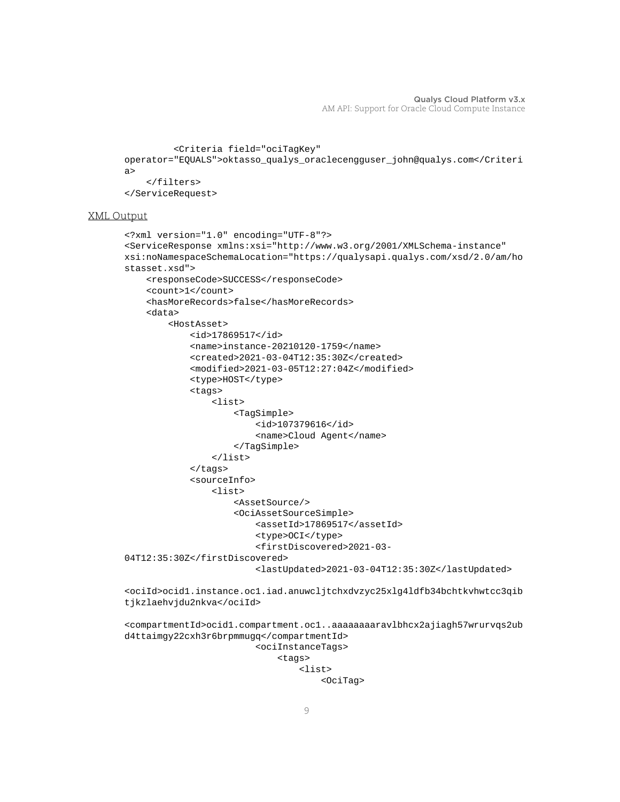```
 <Criteria field="ociTagKey" 
operator="EQUALS">oktasso_qualys_oraclecengguser_john@qualys.com</Criteri
a>
     </filters>
</ServiceRequest>
```

```
<?xml version="1.0" encoding="UTF-8"?>
<ServiceResponse xmlns:xsi="http://www.w3.org/2001/XMLSchema-instance" 
xsi:noNamespaceSchemaLocation="https://qualysapi.qualys.com/xsd/2.0/am/ho
stasset.xsd">
     <responseCode>SUCCESS</responseCode>
     <count>1</count>
     <hasMoreRecords>false</hasMoreRecords>
     <data>
         <HostAsset>
             <id>17869517</id>
             <name>instance-20210120-1759</name>
             <created>2021-03-04T12:35:30Z</created>
             <modified>2021-03-05T12:27:04Z</modified>
             <type>HOST</type>
             <tags>
                 <list>
                      <TagSimple>
                          <id>107379616</id>
                          <name>Cloud Agent</name>
                      </TagSimple>
                 </list>
             </tags>
             <sourceInfo>
                 <list>
                      <AssetSource/>
                      <OciAssetSourceSimple>
                          <assetId>17869517</assetId>
                          <type>OCI</type>
                          <firstDiscovered>2021-03-
04T12:35:30Z</firstDiscovered>
                          <lastUpdated>2021-03-04T12:35:30Z</lastUpdated>
<ociId>ocid1.instance.oc1.iad.anuwcljtchxdvzyc25xlg4ldfb34bchtkvhwtcc3qib
tjkzlaehvjdu2nkva</ociId>
<compartmentId>ocid1.compartment.oc1..aaaaaaaaravlbhcx2ajiagh57wrurvqs2ub
d4ttaimgy22cxh3r6brpmmugq</compartmentId>
```

```
 <ociInstanceTags>
     <tags>
          <list>
              <OciTag>
```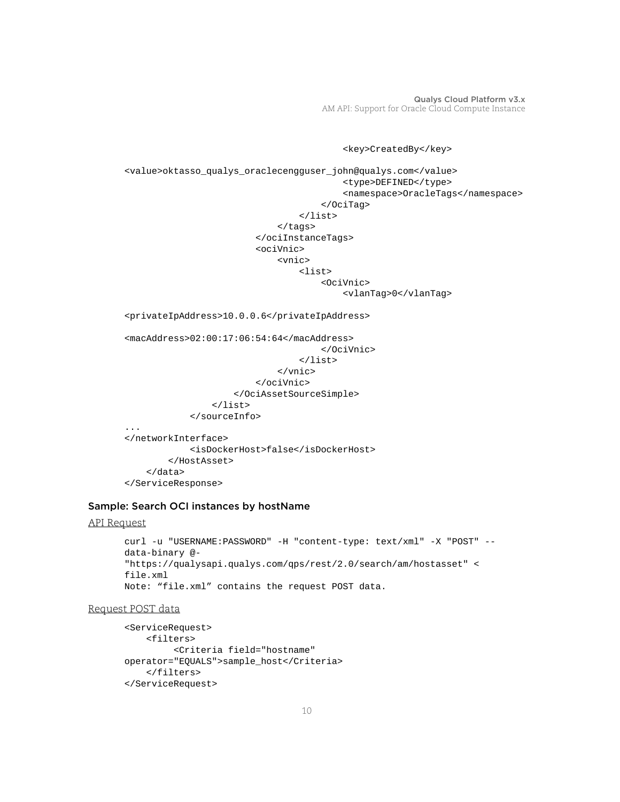<key>CreatedBy</key>

```
<value>oktasso_qualys_oraclecengguser_john@qualys.com</value>
                                            <type>DEFINED</type>
                                            <namespace>OracleTags</namespace>
                                        </OciTag>
                                   </list>
                               </tags>
                           </ociInstanceTags>
                           <ociVnic>
                               <vnic>
                                   <list>
                                        <OciVnic>
                                            <vlanTag>0</vlanTag>
<privateIpAddress>10.0.0.6</privateIpAddress>
<macAddress>02:00:17:06:54:64</macAddress>
                                        </OciVnic>
                                   </list>
                               </vnic>
                           </ociVnic>
                      </OciAssetSourceSimple>
                  </list>
             </sourceInfo>
...
</networkInterface>
              <isDockerHost>false</isDockerHost>
         </HostAsset>
     </data>
```
</ServiceResponse>

#### <span id="page-9-0"></span>Sample: Search OCI instances by hostName

#### API Request

```
curl -u "USERNAME:PASSWORD" -H "content-type: text/xml" -X "POST" --
data-binary @-
"https://qualysapi.qualys.com/qps/rest/2.0/search/am/hostasset" <
file.xml
Note: "file.xml" contains the request POST data.
```
#### Request POST data

```
<ServiceRequest>
     <filters>
          <Criteria field="hostname" 
operator="EQUALS">sample_host</Criteria>
     </filters>
</ServiceRequest>
```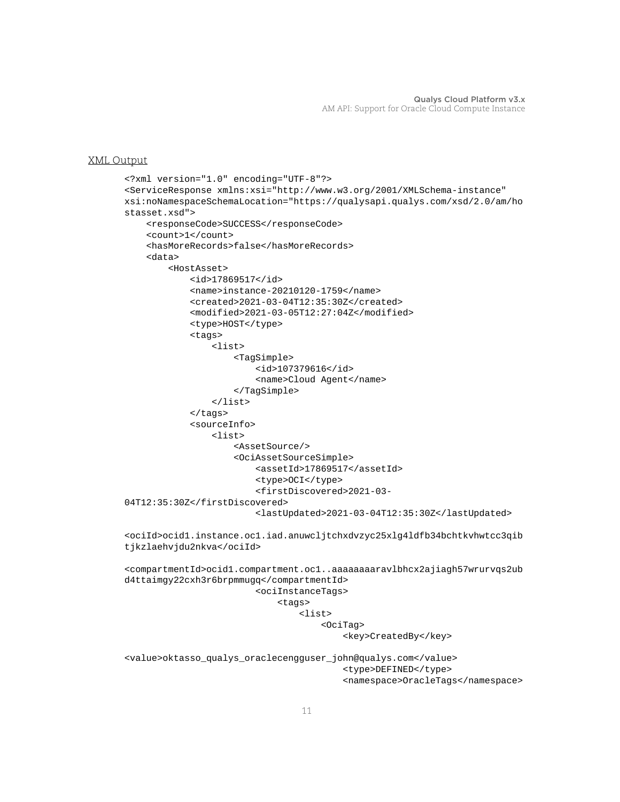```
<?xml version="1.0" encoding="UTF-8"?>
<ServiceResponse xmlns:xsi="http://www.w3.org/2001/XMLSchema-instance" 
xsi:noNamespaceSchemaLocation="https://qualysapi.qualys.com/xsd/2.0/am/ho
stasset.xsd">
     <responseCode>SUCCESS</responseCode>
     <count>1</count>
     <hasMoreRecords>false</hasMoreRecords>
     <data>
         <HostAsset>
             <id>17869517</id>
             <name>instance-20210120-1759</name>
             <created>2021-03-04T12:35:30Z</created>
             <modified>2021-03-05T12:27:04Z</modified>
             <type>HOST</type>
             <tags>
                 <list>
                      <TagSimple>
                          <id>107379616</id>
                          <name>Cloud Agent</name>
                      </TagSimple>
                 </list>
             </tags>
             <sourceInfo>
                 <list>
                      <AssetSource/>
                      <OciAssetSourceSimple>
                          <assetId>17869517</assetId>
                          <type>OCI</type>
                          <firstDiscovered>2021-03-
04T12:35:30Z</firstDiscovered>
                          <lastUpdated>2021-03-04T12:35:30Z</lastUpdated>
<ociId>ocid1.instance.oc1.iad.anuwcljtchxdvzyc25xlg4ldfb34bchtkvhwtcc3qib
tjkzlaehvjdu2nkva</ociId>
<compartmentId>ocid1.compartment.oc1..aaaaaaaaravlbhcx2ajiagh57wrurvqs2ub
d4ttaimgy22cxh3r6brpmmugq</compartmentId>
                          <ociInstanceTags>
                              <tags>
                                  <list>
                                       <OciTag>
                                          <key>CreatedBy</key>
<value>oktasso_qualys_oraclecengguser_john@qualys.com</value>
                                           <type>DEFINED</type>
                                           <namespace>OracleTags</namespace>
```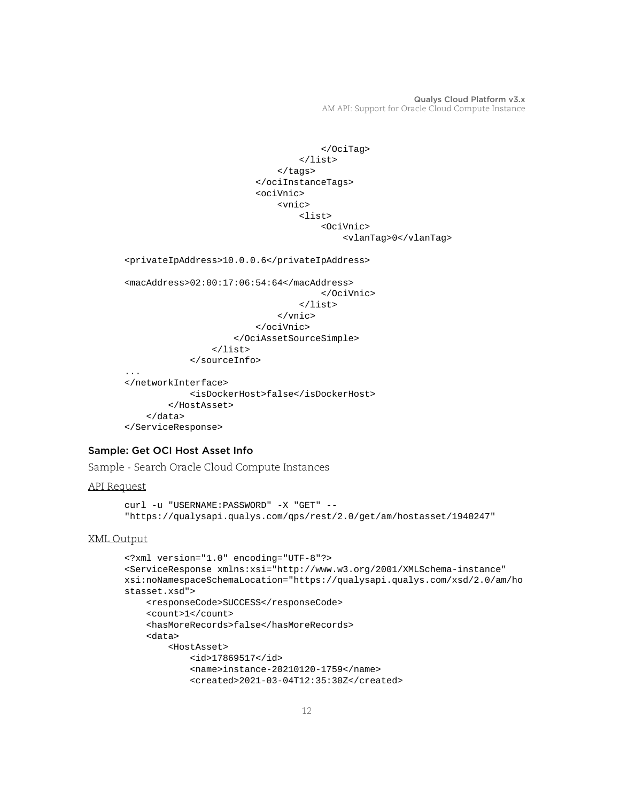```
 </OciTag>
                                    </list>
                                </tags>
                           </ociInstanceTags>
                           <ociVnic>
                                <vnic>
                                    <list>
                                         <OciVnic>
                                             <vlanTag>0</vlanTag>
<privateIpAddress>10.0.0.6</privateIpAddress>
<macAddress>02:00:17:06:54:64</macAddress>
                                         </OciVnic>
                                    </list>
                                </vnic>
                           </ociVnic>
                       </OciAssetSourceSimple>
                 \langlelist>
              </sourceInfo>
...
</networkInterface>
              <isDockerHost>false</isDockerHost>
         </HostAsset>
     </data>
</ServiceResponse>
```
# <span id="page-11-0"></span>Sample: Get OCI Host Asset Info

Sample - Search Oracle Cloud Compute Instances

#### API Request

```
curl -u "USERNAME:PASSWORD" -X "GET" --
"https://qualysapi.qualys.com/qps/rest/2.0/get/am/hostasset/1940247"
```

```
<?xml version="1.0" encoding="UTF-8"?>
<ServiceResponse xmlns:xsi="http://www.w3.org/2001/XMLSchema-instance" 
xsi:noNamespaceSchemaLocation="https://qualysapi.qualys.com/xsd/2.0/am/ho
stasset.xsd">
     <responseCode>SUCCESS</responseCode>
     <count>1</count>
     <hasMoreRecords>false</hasMoreRecords>
     <data>
         <HostAsset>
             <id>17869517</id>
             <name>instance-20210120-1759</name>
             <created>2021-03-04T12:35:30Z</created>
```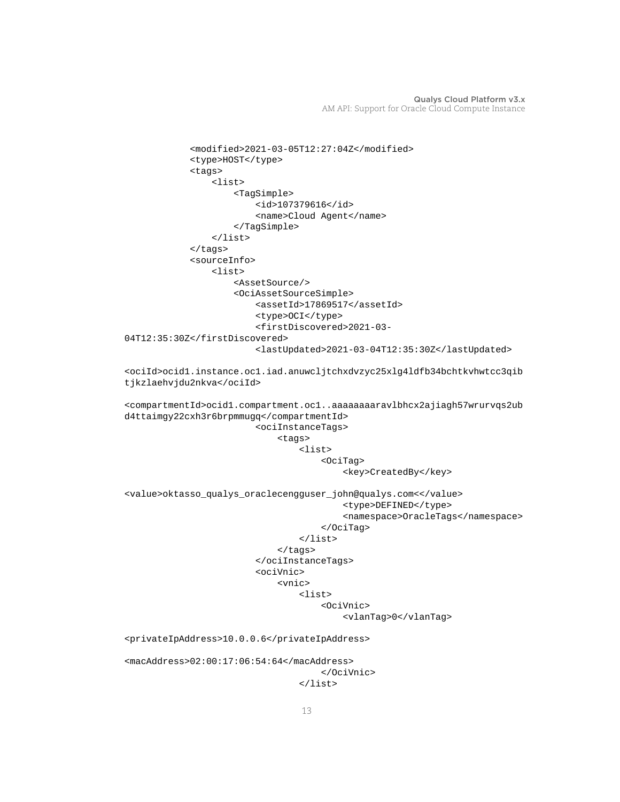```
 <modified>2021-03-05T12:27:04Z</modified>
              <type>HOST</type>
              <tags>
                  <list>
                      <TagSimple>
                          <id>107379616</id>
                          <name>Cloud Agent</name>
                      </TagSimple>
                  </list>
              </tags>
              <sourceInfo>
                  <list>
                      <AssetSource/>
                      <OciAssetSourceSimple>
                           <assetId>17869517</assetId>
                          <type>OCI</type>
                          <firstDiscovered>2021-03-
04T12:35:30Z</firstDiscovered>
                          <lastUpdated>2021-03-04T12:35:30Z</lastUpdated>
<ociId>ocid1.instance.oc1.iad.anuwcljtchxdvzyc25xlg4ldfb34bchtkvhwtcc3qib
tjkzlaehvjdu2nkva</ociId>
<compartmentId>ocid1.compartment.oc1..aaaaaaaaravlbhcx2ajiagh57wrurvqs2ub
d4ttaimgy22cxh3r6brpmmugq</compartmentId>
                          <ociInstanceTags>
                               <tags>
                                   <list>
                                       <OciTag>
                                           <key>CreatedBy</key>
<value>oktasso_qualys_oraclecengguser_john@qualys.com<</value>
                                            <type>DEFINED</type>
                                            <namespace>OracleTags</namespace>
                                       </OciTag>
                                   </list>
                               </tags>
                          </ociInstanceTags>
                          <ociVnic>
                               <vnic>
                                   <list>
                                       <OciVnic>
                                            <vlanTag>0</vlanTag>
<privateIpAddress>10.0.0.6</privateIpAddress>
<macAddress>02:00:17:06:54:64</macAddress>
                                       </OciVnic>
                                  \langle/list>
```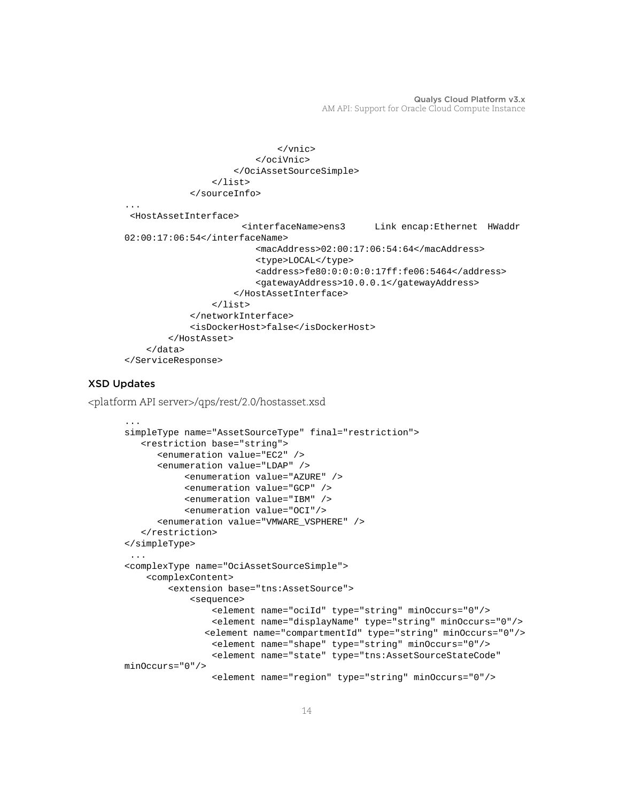```
 </vnic>
                          </ociVnic>
                      </OciAssetSourceSimple>
                  </list>
             </sourceInfo>
...
  <HostAssetInterface>
                        <interfaceName>ens3 Link encap:Ethernet HWaddr 
02:00:17:06:54</interfaceName>
                          <macAddress>02:00:17:06:54:64</macAddress>
                          <type>LOCAL</type>
                          <address>fe80:0:0:0:0:17ff:fe06:5464</address>
                          <gatewayAddress>10.0.0.1</gatewayAddress>
                      </HostAssetInterface>
                  </list>
             </networkInterface>
             <isDockerHost>false</isDockerHost>
         </HostAsset>
     </data>
</ServiceResponse>
```
# XSD Updates

<platform API server>/qps/rest/2.0/hostasset.xsd

```
...
simpleType name="AssetSourceType" final="restriction">
    <restriction base="string">
       <enumeration value="EC2" />
       <enumeration value="LDAP" />
            <enumeration value="AZURE" />
            <enumeration value="GCP" />
            <enumeration value="IBM" />
            <enumeration value="OCI"/>
       <enumeration value="VMWARE_VSPHERE" />
    </restriction>
</simpleType>
<complexType name="OciAssetSourceSimple">
     <complexContent>
         <extension base="tns:AssetSource">
             <sequence>
                 <element name="ociId" type="string" minOccurs="0"/>
                 <element name="displayName" type="string" minOccurs="0"/>
                <element name="compartmentId" type="string" minOccurs="0"/>
                 <element name="shape" type="string" minOccurs="0"/>
                 <element name="state" type="tns:AssetSourceStateCode" 
minOccurs="0"/>
                 <element name="region" type="string" minOccurs="0"/>
```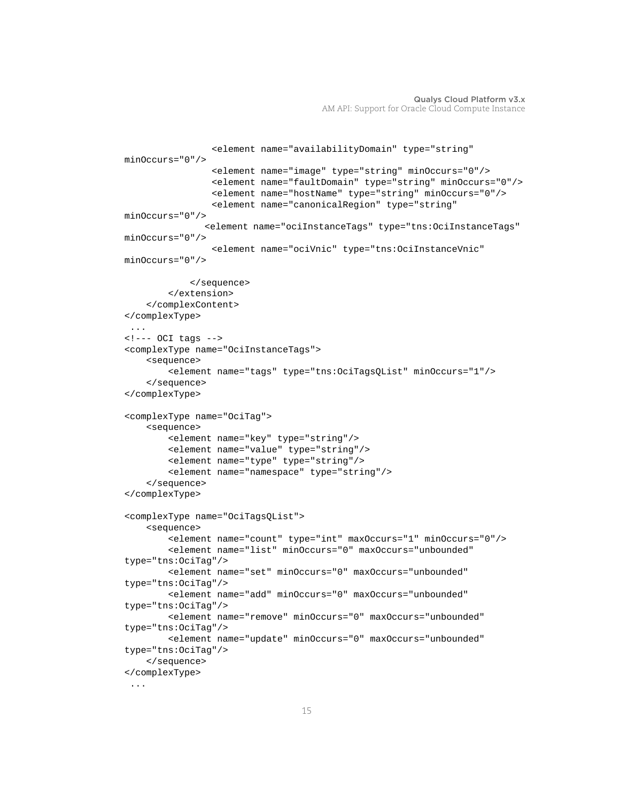```
 <element name="availabilityDomain" type="string" 
minOccurs="0"/>
                 <element name="image" type="string" minOccurs="0"/>
                 <element name="faultDomain" type="string" minOccurs="0"/>
                 <element name="hostName" type="string" minOccurs="0"/>
                 <element name="canonicalRegion" type="string" 
minOccurs="0"/>
                <element name="ociInstanceTags" type="tns:OciInstanceTags" 
minOccurs="0"/>
                 <element name="ociVnic" type="tns:OciInstanceVnic" 
minOccurs="0"/>
             </sequence>
         </extension>
     </complexContent>
</complexType>
  ...
<!--- OCI tags -->
<complexType name="OciInstanceTags">
     <sequence>
         <element name="tags" type="tns:OciTagsQList" minOccurs="1"/>
     </sequence>
</complexType>
<complexType name="OciTag">
     <sequence>
         <element name="key" type="string"/>
         <element name="value" type="string"/>
         <element name="type" type="string"/>
         <element name="namespace" type="string"/>
     </sequence>
</complexType>
<complexType name="OciTagsQList">
     <sequence>
         <element name="count" type="int" maxOccurs="1" minOccurs="0"/>
         <element name="list" minOccurs="0" maxOccurs="unbounded" 
type="tns:OciTag"/>
         <element name="set" minOccurs="0" maxOccurs="unbounded" 
type="tns:OciTag"/>
         <element name="add" minOccurs="0" maxOccurs="unbounded" 
type="tns:OciTag"/>
         <element name="remove" minOccurs="0" maxOccurs="unbounded" 
type="tns:OciTag"/>
         <element name="update" minOccurs="0" maxOccurs="unbounded" 
type="tns:OciTag"/>
     </sequence>
</complexType>
  ...
```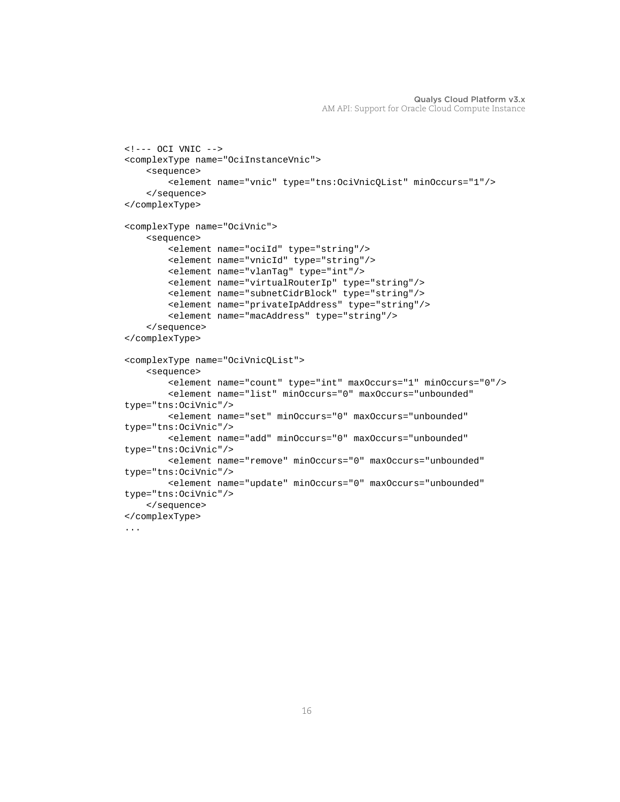```
<!--- OCI VNIC -->
<complexType name="OciInstanceVnic">
     <sequence>
         <element name="vnic" type="tns:OciVnicQList" minOccurs="1"/>
     </sequence>
</complexType>
<complexType name="OciVnic">
     <sequence>
         <element name="ociId" type="string"/>
         <element name="vnicId" type="string"/>
         <element name="vlanTag" type="int"/>
         <element name="virtualRouterIp" type="string"/>
         <element name="subnetCidrBlock" type="string"/>
         <element name="privateIpAddress" type="string"/>
         <element name="macAddress" type="string"/>
     </sequence>
</complexType>
<complexType name="OciVnicQList">
     <sequence>
         <element name="count" type="int" maxOccurs="1" minOccurs="0"/>
         <element name="list" minOccurs="0" maxOccurs="unbounded" 
type="tns:OciVnic"/>
         <element name="set" minOccurs="0" maxOccurs="unbounded" 
type="tns:OciVnic"/>
         <element name="add" minOccurs="0" maxOccurs="unbounded" 
type="tns:OciVnic"/>
         <element name="remove" minOccurs="0" maxOccurs="unbounded" 
type="tns:OciVnic"/>
         <element name="update" minOccurs="0" maxOccurs="unbounded" 
type="tns:OciVnic"/>
     </sequence>
</complexType>
...
```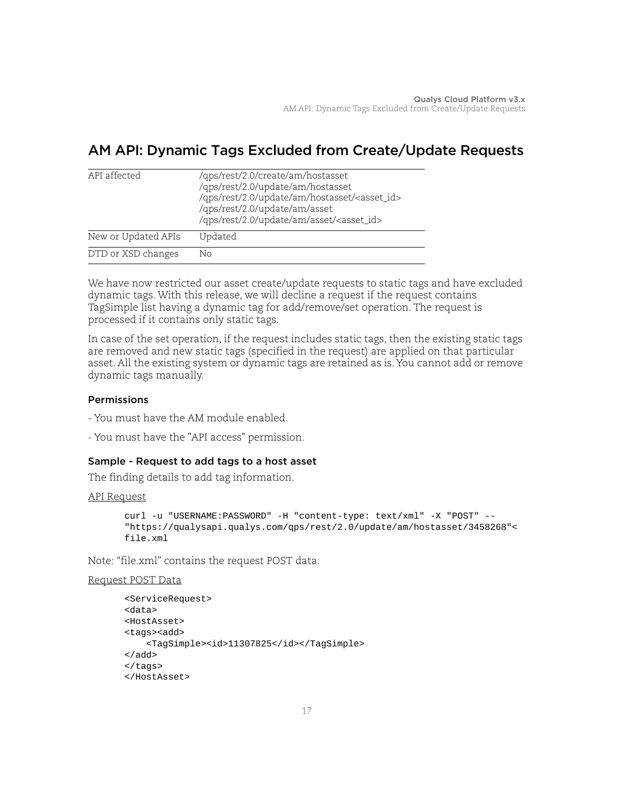# <span id="page-16-0"></span>AM API: Dynamic Tags Excluded from Create/Update Requests

| API affected        | /qps/rest/2.0/create/am/hostasset<br>/qps/rest/2.0/update/am/hostasset<br>/qps/rest/2.0/update/am/hostasset/ <asset_id><br/>/qps/rest/2.0/update/am/asset<br/>/qps/rest/2.0/update/am/asset/<asset_id></asset_id></asset_id> |
|---------------------|------------------------------------------------------------------------------------------------------------------------------------------------------------------------------------------------------------------------------|
| New or Updated APIs | Updated                                                                                                                                                                                                                      |
| DTD or XSD changes  | Nο                                                                                                                                                                                                                           |

We have now restricted our asset create/update requests to static tags and have excluded dynamic tags. With this release, we will decline a request if the request contains TagSimple list having a dynamic tag for add/remove/set operation. The request is processed if it contains only static tags.

In case of the set operation, if the request includes static tags, then the existing static tags are removed and new static tags (specified in the request) are applied on that particular asset. All the existing system or dynamic tags are retained as is. You cannot add or remove dynamic tags manually.

# Permissions

- You must have the AM module enabled.
- You must have the "API access" permission.

# Sample - Request to add tags to a host asset

The finding details to add tag information.

# API Request

```
curl -u "USERNAME:PASSWORD" -H "content-type: text/xml" -X "POST" --
"https://qualysapi.qualys.com/qps/rest/2.0/update/am/hostasset/3458268"< 
file.xml
```
Note: "file.xml" contains the request POST data.

# Request POST Data

```
<ServiceRequest> 
<data> 
<HostAsset> 
<tags><add> 
     <TagSimple><id>11307825</id></TagSimple> 
</add>
</tags> 
</HostAsset>
```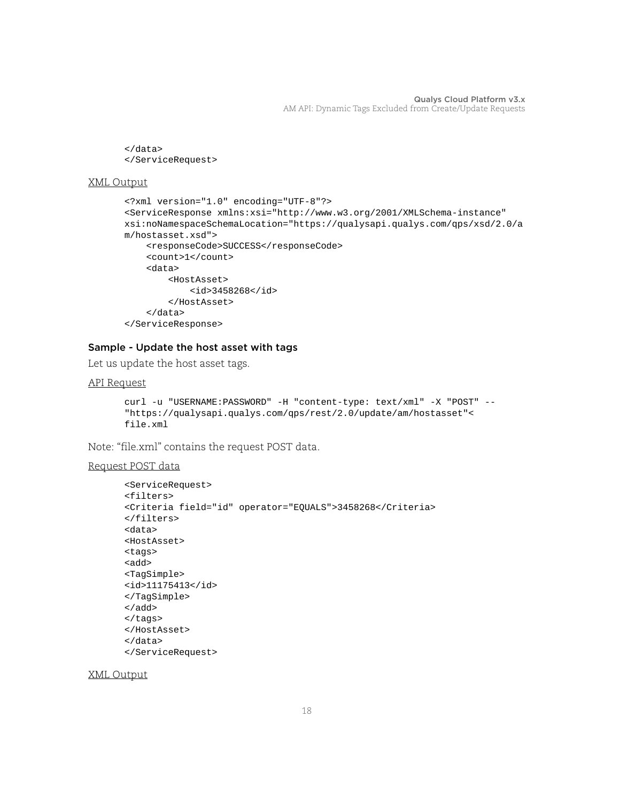```
</data>
</ServiceRequest>
```

```
<?xml version="1.0" encoding="UTF-8"?>
<ServiceResponse xmlns:xsi="http://www.w3.org/2001/XMLSchema-instance" 
xsi:noNamespaceSchemaLocation="https://qualysapi.qualys.com/qps/xsd/2.0/a
m/hostasset.xsd">
     <responseCode>SUCCESS</responseCode>
     <count>1</count>
     <data>
         <HostAsset>
             <id>3458268</id>
         </HostAsset>
     </data>
</ServiceResponse>
```
# Sample - Update the host asset with tags

Let us update the host asset tags.

# API Request

```
curl -u "USERNAME:PASSWORD" -H "content-type: text/xml" -X "POST" --
"https://qualysapi.qualys.com/qps/rest/2.0/update/am/hostasset"< 
file.xml
```
Note: "file.xml" contains the request POST data.

# Request POST data

```
<ServiceRequest>
<filters>
<Criteria field="id" operator="EQUALS">3458268</Criteria>
</filters>
<data> 
<HostAsset> 
<tags>
<add> 
<TagSimple>
<id>11175413</id>
</TagSimple>
</add> 
</tags> 
</HostAsset> 
</data>
</ServiceRequest>
```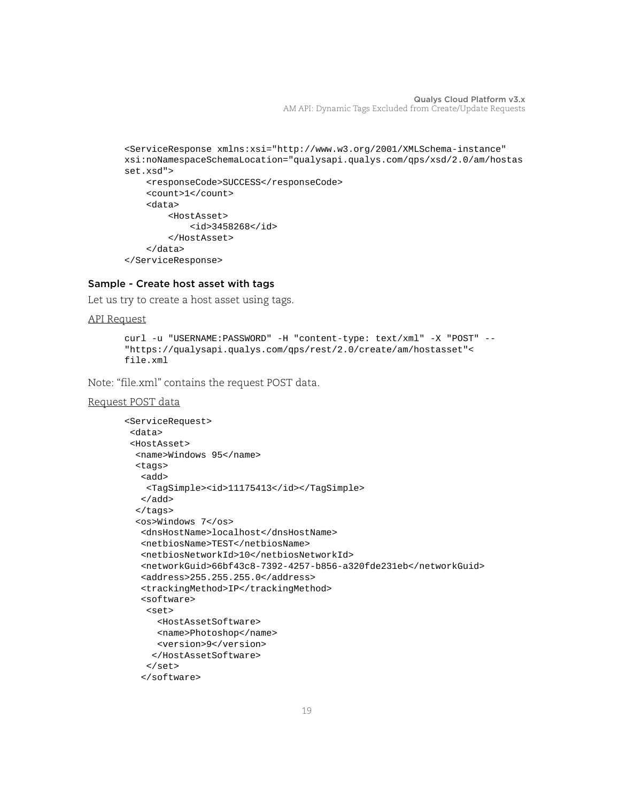```
<ServiceResponse xmlns:xsi="http://www.w3.org/2001/XMLSchema-instance" 
xsi:noNamespaceSchemaLocation="qualysapi.qualys.com/qps/xsd/2.0/am/hostas
set.xsd">
     <responseCode>SUCCESS</responseCode>
     <count>1</count>
     <data>
         <HostAsset>
             <id>3458268</id>
         </HostAsset>
     </data>
```
# </ServiceResponse>

# Sample - Create host asset with tags

Let us try to create a host asset using tags.

```
API Request
```

```
curl -u "USERNAME:PASSWORD" -H "content-type: text/xml" -X "POST" --
"https://qualysapi.qualys.com/qps/rest/2.0/create/am/hostasset"< 
file.xml
```
Note: "file.xml" contains the request POST data.

```
Request POST data
```

```
<ServiceRequest>
  <data>
  <HostAsset>
   <name>Windows 95</name>
   <tags>
    <add> 
     <TagSimple><id>11175413</id></TagSimple>
    </add> 
   </tags>
  <os>Windows 7</os>
    <dnsHostName>localhost</dnsHostName>
    <netbiosName>TEST</netbiosName>
    <netbiosNetworkId>10</netbiosNetworkId>
    <networkGuid>66bf43c8-7392-4257-b856-a320fde231eb</networkGuid>
    <address>255.255.255.0</address>
    <trackingMethod>IP</trackingMethod>
    <software>
     <set>
       <HostAssetSoftware>
       <name>Photoshop</name>
       <version>9</version>
      </HostAssetSoftware>
    \epsilon/set>
    </software>
```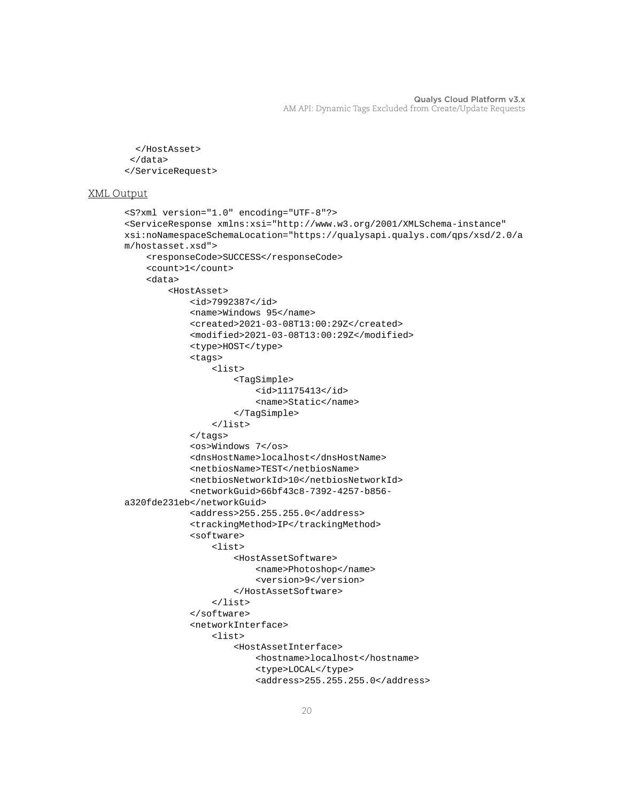```
 </HostAsset>
  </data>
</ServiceRequest>
```

```
<S?xml version="1.0" encoding="UTF-8"?>
<ServiceResponse xmlns:xsi="http://www.w3.org/2001/XMLSchema-instance" 
xsi:noNamespaceSchemaLocation="https://qualysapi.qualys.com/qps/xsd/2.0/a
m/hostasset.xsd">
     <responseCode>SUCCESS</responseCode>
     <count>1</count>
     <data>
         <HostAsset>
             <id>7992387</id>
             <name>Windows 95</name>
             <created>2021-03-08T13:00:29Z</created>
             <modified>2021-03-08T13:00:29Z</modified>
             <type>HOST</type>
             <tags>
                  <list>
                      <TagSimple>
                          <id>11175413</id>
                          <name>Static</name>
                      </TagSimple>
                  </list>
             </tags>
             <os>Windows 7</os>
             <dnsHostName>localhost</dnsHostName>
             <netbiosName>TEST</netbiosName>
             <netbiosNetworkId>10</netbiosNetworkId>
             <networkGuid>66bf43c8-7392-4257-b856-
a320fde231eb</networkGuid>
             <address>255.255.255.0</address>
             <trackingMethod>IP</trackingMethod>
             <software>
                  <list>
                      <HostAssetSoftware>
                          <name>Photoshop</name>
                          <version>9</version>
                      </HostAssetSoftware>
                  </list>
             </software>
             <networkInterface>
                  <list>
                      <HostAssetInterface>
                          <hostname>localhost</hostname>
                          <type>LOCAL</type>
                          <address>255.255.255.0</address>
```